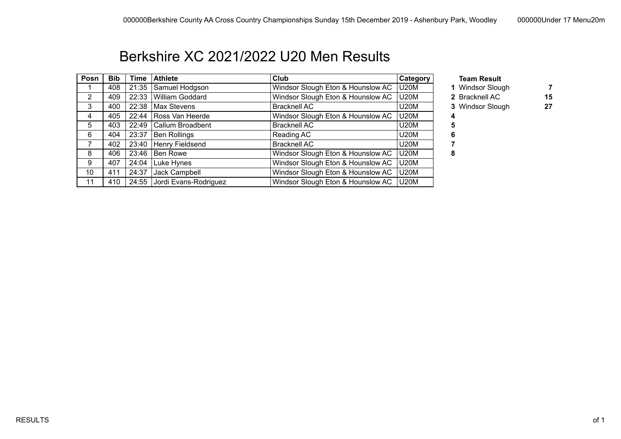## Berkshire XC 2021/2022 U20 Men Results

| Posn | <b>Bib</b> | Time  | <b>Athlete</b>          | Club                              | <b>Category</b> | <b>Team Result</b> |    |
|------|------------|-------|-------------------------|-----------------------------------|-----------------|--------------------|----|
|      | 408        | 21:35 | Samuel Hodgson          | Windsor Slough Eton & Hounslow AC | <b>U20M</b>     | 1 Windsor Slough   |    |
| 2    | 409        | 22:33 | William Goddard         | Windsor Slough Eton & Hounslow AC | <b>U20M</b>     | 2 Bracknell AC     | 15 |
| 3    | 400        | 22:38 | Max Stevens             | <b>Bracknell AC</b>               | U20M            | 3 Windsor Slough   | 27 |
| 4    | 405        |       | 22:44   Ross Van Heerde | Windsor Slough Eton & Hounslow AC | U20M            |                    |    |
| 5    | 403        | 22:49 | Callum Broadbent        | <b>Bracknell AC</b>               | U20M            |                    |    |
| 6    | 404        | 23:37 | Ben Rollings            | Reading AC                        | U20M            | b                  |    |
|      | 402        |       | 23:40   Henry Fieldsend | <b>Bracknell AC</b>               | U20M            |                    |    |
| 8    | 406        | 23:46 | Ben Rowe                | Windsor Slough Eton & Hounslow AC | U20M            | 8                  |    |
| 9    | 407        | 24:04 | Luke Hynes              | Windsor Slough Eton & Hounslow AC | U20M            |                    |    |
| 10   | 411        | 24:37 | Jack Campbell           | Windsor Slough Eton & Hounslow AC | <b>U20M</b>     |                    |    |
| 11   | 410        | 24:55 | Jordi Evans-Rodriguez   | Windsor Slough Eton & Hounslow AC | U20M            |                    |    |

- 1 Windsor Slough **7** 
	-
- 3 Windsor Slough 27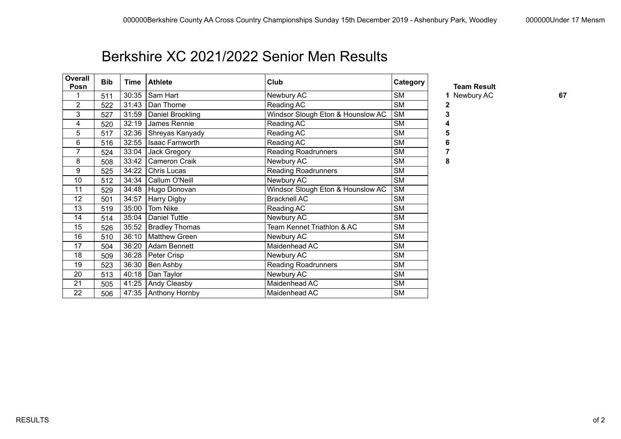### Berkshire XC 2021/2022 Senior Men Results

| Overall<br>Posn | <b>Bib</b> | Time  | <b>Athlete</b>        | Club                              | Category  | <b>Team Result</b> |    |
|-----------------|------------|-------|-----------------------|-----------------------------------|-----------|--------------------|----|
|                 | 511        | 30:35 | Sam Hart              | Newbury AC                        | <b>SM</b> | 1 Newbury AC       | 67 |
| 2               | 522        | 31:43 | Dan Thorne            | Reading AC                        | <b>SM</b> | 2                  |    |
| 3               | 527        | 31:59 | Daniel Brookling      | Windsor Slough Eton & Hounslow AC | <b>SM</b> | 3                  |    |
| 4               | 520        | 32:19 | James Rennie          | Reading AC                        | <b>SM</b> | 4                  |    |
| 5               | 517        | 32:36 | Shreyas Kanyady       | Reading AC                        | <b>SM</b> | 5                  |    |
| 6               | 516        | 32:55 | Isaac Farnworth       | Reading AC                        | <b>SM</b> | 6                  |    |
| $\overline{7}$  | 524        | 33:04 | Jack Gregory          | <b>Reading Roadrunners</b>        | <b>SM</b> |                    |    |
| 8               | 508        | 33:42 | Cameron Craik         | Newbury AC                        | <b>SM</b> | 8                  |    |
| 9               | 525        | 34:22 | Chris Lucas           | <b>Reading Roadrunners</b>        | <b>SM</b> |                    |    |
| 10              | 512        | 34:34 | Callum O'Neill        | Newbury AC                        | <b>SM</b> |                    |    |
| 11              | 529        | 34:48 | Hugo Donovan          | Windsor Slough Eton & Hounslow AC | <b>SM</b> |                    |    |
| 12              | 501        | 34:57 | <b>Harry Digby</b>    | <b>Bracknell AC</b>               | <b>SM</b> |                    |    |
| 13              | 519        | 35:00 | Tom Nike              | Reading AC                        | <b>SM</b> |                    |    |
| 14              | 514        | 35:04 | <b>Daniel Tuttle</b>  | Newbury AC                        | <b>SM</b> |                    |    |
| 15              | 526        | 35:52 | <b>Bradley Thomas</b> | Team Kennet Triathlon & AC        | <b>SM</b> |                    |    |
| 16              | 510        | 36:10 | <b>Matthew Green</b>  | Newbury AC                        | <b>SM</b> |                    |    |
| 17              | 504        | 36:20 | Adam Bennett          | Maidenhead AC                     | <b>SM</b> |                    |    |
| 18              | 509        | 36:28 | Peter Crisp           | Newbury AC                        | <b>SM</b> |                    |    |
| 19              | 523        | 36:30 | Ben Ashby             | <b>Reading Roadrunners</b>        | <b>SM</b> |                    |    |
| 20              | 513        | 40:18 | Dan Taylor            | Newbury AC                        | <b>SM</b> |                    |    |
| 21              | 505        | 41:25 | Andy Cleasby          | Maidenhead AC                     | <b>SM</b> |                    |    |
| 22              | 506        | 47:35 | Anthony Hornby        | Maidenhead AC                     | <b>SM</b> |                    |    |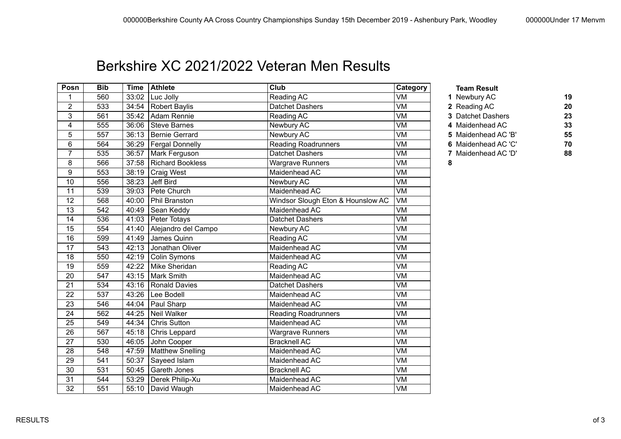### Berkshire XC 2021/2022 Veteran Men Results

| Posn           | <b>Bib</b> |       | Time   Athlete            | Club                              | Category                 | <b>Team Result</b>  |    |
|----------------|------------|-------|---------------------------|-----------------------------------|--------------------------|---------------------|----|
| 1              | 560        |       | $33:02$   Luc Jolly       | Reading AC                        | $\overline{\textsf{VM}}$ | 1 Newbury AC        | 19 |
| $\overline{2}$ | 533        |       | 34:54   Robert Baylis     | <b>Datchet Dashers</b>            | VM                       | 2 Reading AC        | 20 |
| 3              | 561        |       | 35:42 Adam Rennie         | Reading AC                        | $\overline{\textsf{VM}}$ | 3 Datchet Dashers   | 23 |
| 4              | 555        |       | 36:06 Steve Barnes        | Newbury AC                        | VM                       | 4 Maidenhead AC     | 33 |
| 5              | 557        |       | 36:13   Bernie Gerrard    | Newbury AC                        | VM                       | 5 Maidenhead AC 'B' | 55 |
| 6              | 564        |       | 36:29   Fergal Donnelly   | <b>Reading Roadrunners</b>        | $\overline{\textsf{VM}}$ | 6 Maidenhead AC 'C' | 70 |
| $\overline{7}$ | 535        |       | 36:57   Mark Ferguson     | <b>Datchet Dashers</b>            | $\overline{\textsf{VM}}$ | 7 Maidenhead AC 'D' | 88 |
| 8              | 566        |       | 37:58 Richard Bookless    | <b>Wargrave Runners</b>           | $\overline{\text{VM}}$   | 8                   |    |
| 9              | 553        |       | 38:19   Craig West        | Maidenhead AC                     | VM                       |                     |    |
| 10             | 556        | 38:23 | Jeff Bird                 | Newbury AC                        | VM                       |                     |    |
| 11             | 539        |       | 39:03 Pete Church         | Maidenhead AC                     | $\overline{\text{VM}}$   |                     |    |
| 12             | 568        | 40:00 | Phil Branston             | Windsor Slough Eton & Hounslow AC | VM                       |                     |    |
| 13             | 542        | 40:49 | Sean Keddy                | Maidenhead AC                     | VM                       |                     |    |
| 14             | 536        |       | 41:03 Peter Totays        | Datchet Dashers                   | $\overline{\textsf{VM}}$ |                     |    |
| 15             | 554        |       | 41:40 Alejandro del Campo | Newbury AC                        | VM                       |                     |    |
| 16             | 599        | 41:49 | James Quinn               | Reading AC                        | VM                       |                     |    |
| 17             | 543        |       | 42:13 Jonathan Oliver     | Maidenhead AC                     | $\overline{\textsf{VM}}$ |                     |    |
| 18             | 550        |       | 42:19 Colin Symons        | Maidenhead AC                     | $\overline{\text{VM}}$   |                     |    |
| 19             | 559        | 42:22 | Mike Sheridan             | Reading AC                        | $\overline{\textsf{VM}}$ |                     |    |
| 20             | 547        | 43:15 | Mark Smith                | Maidenhead AC                     | VM                       |                     |    |
| 21             | 534        | 43:16 | <b>Ronald Davies</b>      | Datchet Dashers                   | VM                       |                     |    |
| 22             | 537        | 43:26 | Lee Bodell                | Maidenhead AC                     | $\overline{\textsf{VM}}$ |                     |    |
| 23             | 546        |       | 44:04   Paul Sharp        | Maidenhead AC                     | $\overline{\textsf{VM}}$ |                     |    |
| 24             | 562        | 44:25 | Neil Walker               | <b>Reading Roadrunners</b>        | VM                       |                     |    |
| 25             | 549        | 44:34 | <b>Chris Sutton</b>       | Maidenhead AC                     | $\overline{\text{VM}}$   |                     |    |
| 26             | 567        | 45:18 | Chris Leppard             | Wargrave Runners                  | VM                       |                     |    |
| 27             | 530        | 46:05 | John Cooper               | <b>Bracknell AC</b>               | VM                       |                     |    |
| 28             | 548        | 47:59 | Matthew Snelling          | Maidenhead AC                     | VM                       |                     |    |
| 29             | 541        |       | 50:37 Sayeed Islam        | Maidenhead AC                     | VM                       |                     |    |
| 30             | 531        | 50:45 | Gareth Jones              | <b>Bracknell AC</b>               | VM                       |                     |    |
| 31             | 544        | 53:29 | Derek Philip-Xu           | Maidenhead AC                     | VM                       |                     |    |
| 32             | 551        |       | 55:10   David Waugh       | Maidenhead AC                     | VM                       |                     |    |

- 3 Datchet Dashers **23** 4 Maidenhead AC 33 5 Maidenhead AC 'B' **55** 564 36:29 Fergal Donnelly Reading Roadrunners VM **6** Maidenhead AC 'C' **70**
- 535 36:57 Mark Ferguson Datchet Dashers VM **7** Maidenhead AC 'D' **88**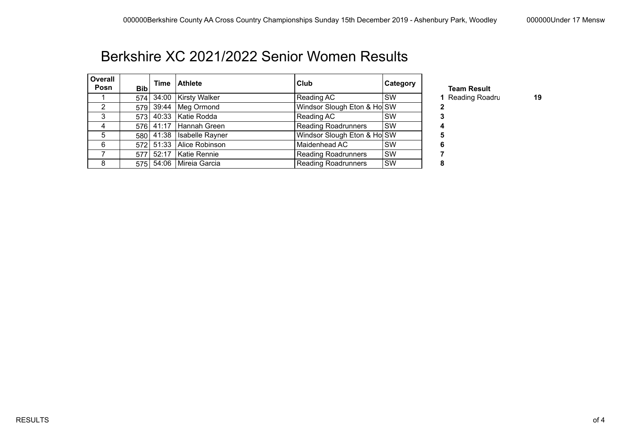### Berkshire XC 2021/2022 Senior Women Results

| <b>Overall</b><br>Posn | <b>Bib</b> | Time      | <b>Athlete</b>            | <b>Club</b>                 | Category  |
|------------------------|------------|-----------|---------------------------|-----------------------------|-----------|
|                        |            | 574 34:00 | <b>Kirsty Walker</b>      | Reading AC                  | <b>SW</b> |
| 2                      |            |           | 579 39:44   Meg Ormond    | Windsor Slough Eton & Ho SW |           |
| 3                      |            |           | 573 40:33   Katie Rodda   | Reading AC                  | <b>SW</b> |
| 4                      |            | 576 41:17 | Hannah Green              | <b>Reading Roadrunners</b>  | SW        |
| 5                      |            | 580 41:38 | Isabelle Rayner           | Windsor Slough Eton & Ho SW |           |
| 6                      |            |           | 572 51:33 Alice Robinson  | Maidenhead AC               | <b>SW</b> |
|                        |            | 577 52:17 | Katie Rennie              | <b>Reading Roadrunners</b>  | <b>SW</b> |
| 8                      |            |           | 575 54:06   Mireia Garcia | <b>Reading Roadrunners</b>  | SW        |

**Team Result** 1 Reading Roadru **19**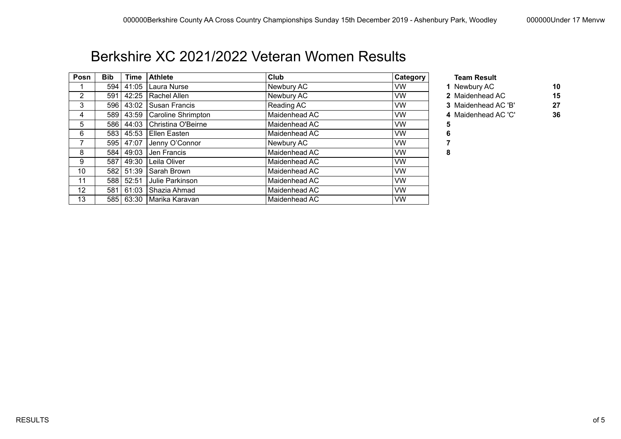### Berkshire XC 2021/2022 Veteran Women Results

| Posn           | <b>Bib</b>       | Time        | <b>Athlete</b>                   | Club          | <b>Category</b> | <b>Team Result</b>  |    |
|----------------|------------------|-------------|----------------------------------|---------------|-----------------|---------------------|----|
|                | 594 <sub>1</sub> |             | 41:05   Laura Nurse              | Newbury AC    | VW.             | 1 Newbury AC        | 10 |
| $\overline{2}$ | 591 l            |             | 42:25   Rachel Allen             | Newbury AC    | <b>VW</b>       | 2 Maidenhead AC     | 15 |
| 3              |                  |             | 596   43:02   Susan Francis      | Reading AC    | <b>VW</b>       | 3 Maidenhead AC 'B' | 27 |
| 4              |                  |             | 589 43:59 Caroline Shrimpton     | Maidenhead AC | <b>VW</b>       | 4 Maidenhead AC 'C' | 36 |
| 5              |                  |             | 586   44:03   Christina O'Beirne | Maidenhead AC | <b>VW</b>       | 5                   |    |
| 6              |                  |             | 583   45:53   Ellen Easten       | Maidenhead AC | <b>VW</b>       | 6                   |    |
|                |                  | 595 47:07   | Jenny O'Connor                   | Newbury AC    | <b>VW</b>       |                     |    |
| 8              |                  | 584   49:03 | Uen Francis                      | Maidenhead AC | VW.             | 8                   |    |
| 9              | 5871             |             | 49:30   Leila Oliver             | Maidenhead AC | <b>VW</b>       |                     |    |
| 10             |                  |             | 582   51:39   Sarah Brown        | Maidenhead AC | <b>VW</b>       |                     |    |
| 11             |                  | 588 52:51   | Julie Parkinson                  | Maidenhead AC | <b>VW</b>       |                     |    |
| 12             | 581 l            |             | 61:03 Shazia Ahmad               | Maidenhead AC | <b>VW</b>       |                     |    |
| 13             |                  |             | 585   63:30   Marika Karavan     | Maidenhead AC | VW.             |                     |    |

### 4 Maidenhead AC 'C' **36**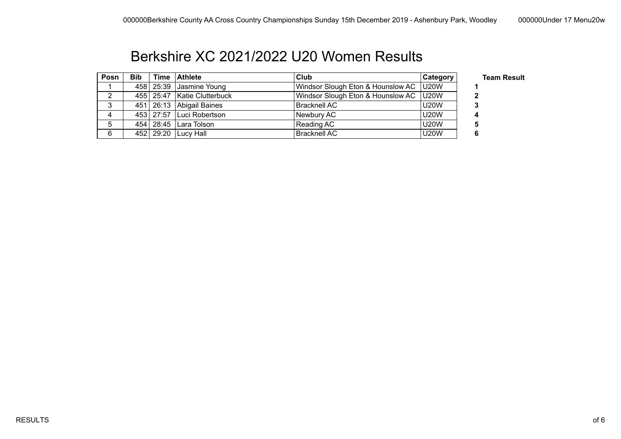## Berkshire XC 2021/2022 U20 Women Results

| Posn | <b>Bib</b> | Time Athlete                    | Club                                     | Category    | <b>Team Result</b> |
|------|------------|---------------------------------|------------------------------------------|-------------|--------------------|
|      |            | $458$ 25:39 Jasmine Young       | Windsor Slough Eton & Hounslow AC   U20W |             |                    |
|      |            | 455   25:47   Katie Clutterbuck | Windsor Slough Eton & Hounslow AC   U20W |             |                    |
| ົ    |            | 451   26:13   Abigail Baines    | <b>Bracknell AC</b>                      | <b>U20W</b> |                    |
|      |            | 453   27:57   Luci Robertson    | Newbury AC                               | <b>U20W</b> |                    |
| 5    |            | 454   28:45   Lara Tolson       | Reading AC                               | <b>U20W</b> |                    |
| 6    |            | 452 29:20 Lucy Hall             | <b>Bracknell AC</b>                      | <b>U20W</b> |                    |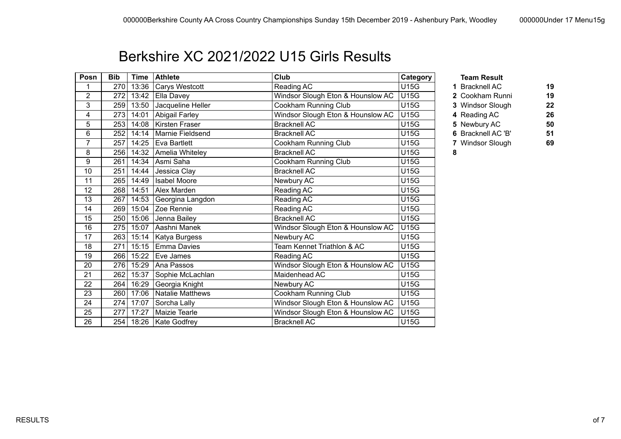## Berkshire XC 2021/2022 U15 Girls Results

| Posn           | <b>Bib</b> | <b>Time</b> | <b>Athlete</b>      | Club                              | Category    | <b>Team Result</b> |    |
|----------------|------------|-------------|---------------------|-----------------------------------|-------------|--------------------|----|
| 1              | 270        | 13:36       | Carys Westcott      | Reading AC                        | <b>U15G</b> | 1 Bracknell AC     | 19 |
| 2              | 272        | 13:42       | Ella Davey          | Windsor Slough Eton & Hounslow AC | <b>U15G</b> | 2 Cookham Runni    | 19 |
| 3              | 259        | 13:50       | Jacqueline Heller   | Cookham Running Club              | U15G        | 3 Windsor Slough   | 22 |
| 4              | 273        | 14:01       | Abigail Farley      | Windsor Slough Eton & Hounslow AC | <b>U15G</b> | 4 Reading AC       | 26 |
| 5              | 253        | 14:08       | Kirsten Fraser      | <b>Bracknell AC</b>               | U15G        | 5 Newbury AC       | 50 |
| 6              | 252        | 14:14       | Marnie Fieldsend    | <b>Bracknell AC</b>               | <b>U15G</b> | 6 Bracknell AC 'B' | 51 |
| $\overline{7}$ | 257        | 14:25       | Eva Bartlett        | Cookham Running Club              | <b>U15G</b> | 7 Windsor Slough   | 69 |
| 8              | 256        | 14:32       | Amelia Whiteley     | <b>Bracknell AC</b>               | U15G        | 8                  |    |
| 9              | 261        | 14:34       | Asmi Saha           | Cookham Running Club              | U15G        |                    |    |
| 10             | 251        | 14:44       | Jessica Clay        | <b>Bracknell AC</b>               | <b>U15G</b> |                    |    |
| 11             | 265        | 14:49       | <b>Isabel Moore</b> | Newbury AC                        | U15G        |                    |    |
| 12             | 268        | 14:51       | Alex Marden         | Reading AC                        | <b>U15G</b> |                    |    |
| 13             | 267        | 14:53       | Georgina Langdon    | Reading AC                        | U15G        |                    |    |
| 14             | 269        | 15:04       | Zoe Rennie          | Reading AC                        | <b>U15G</b> |                    |    |
| 15             | 250        | 15:06       | Jenna Bailey        | <b>Bracknell AC</b>               | U15G        |                    |    |
| 16             | 275        | 15:07       | Aashni Manek        | Windsor Slough Eton & Hounslow AC | <b>U15G</b> |                    |    |
| 17             | 263        | 15:14       | Katya Burgess       | Newbury AC                        | U15G        |                    |    |
| 18             | 271        | 15:15       | Emma Davies         | Team Kennet Triathlon & AC        | <b>U15G</b> |                    |    |
| 19             | 266        | 15:22       | Eve James           | Reading AC                        | U15G        |                    |    |
| 20             | 276        | 15:29       | Ana Passos          | Windsor Slough Eton & Hounslow AC | <b>U15G</b> |                    |    |
| 21             | 262        | 15:37       | Sophie McLachlan    | Maidenhead AC                     | U15G        |                    |    |
| 22             | 264        | 16:29       | Georgia Knight      | Newbury AC                        | <b>U15G</b> |                    |    |
| 23             | 260        | 17:06       | Natalie Matthews    | Cookham Running Club              | <b>U15G</b> |                    |    |
| 24             | 274        | 17:07       | Sorcha Lally        | Windsor Slough Eton & Hounslow AC | U15G        |                    |    |
| 25             | 277        | 17:27       | Maizie Tearle       | Windsor Slough Eton & Hounslow AC | <b>U15G</b> |                    |    |
| 26             |            | 254 18:26   | Kate Godfrey        | <b>Bracknell AC</b>               | U15G        |                    |    |

- 2 Cookham Runni **19**
- 3 Windsor Slough 22
- 273 14:01 Abigail Farley Windsor Slough Eton & Hounslow AC U15G **4** Reading AC **26**
	-
- 
- 252 14:14 Marnie Fieldsend Bracknell AC U15G **6** Bracknell AC 'B' **51**
- 7 Windsor Slough **69**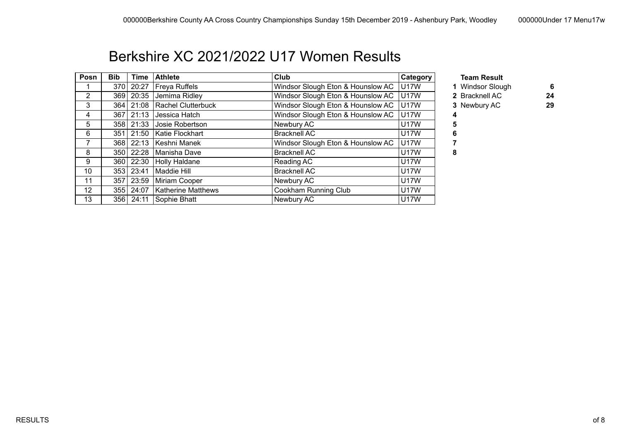### Berkshire XC 2021/2022 U17 Women Results

| Posn           | <b>Bib</b> | Time  | <b>Athlete</b>            | Club                              | <b>Category</b>  | <b>Team Result</b> |    |
|----------------|------------|-------|---------------------------|-----------------------------------|------------------|--------------------|----|
|                | 370        | 20:27 | <b>Freya Ruffels</b>      | Windsor Slough Eton & Hounslow AC | <b>U17W</b>      | 1 Windsor Slough   | 6  |
| $\overline{2}$ | 3691       | 20:35 | Jemima Ridley             | Windsor Slough Eton & Hounslow AC | U17W             | 2 Bracknell AC     | 24 |
| 3              | 364        | 21:08 | Rachel Clutterbuck        | Windsor Slough Eton & Hounslow AC | <b>U17W</b>      | 3 Newbury AC       | 29 |
| 4              | 367        | 21:13 | Jessica Hatch             | Windsor Slough Eton & Hounslow AC | <b>U17W</b>      |                    |    |
| 5              | 3581       | 21:33 | Josie Robertson           | Newbury AC                        | <b>U17W</b>      |                    |    |
| 6              | 351        | 21:50 | Katie Flockhart           | <b>Bracknell AC</b>               | U17W             | ь                  |    |
|                | 3681       | 22:13 | Keshni Manek              | Windsor Slough Eton & Hounslow AC | U <sub>17W</sub> |                    |    |
| 8              | 350        | 22:28 | Manisha Dave              | <b>Bracknell AC</b>               | U17W             | 8                  |    |
| 9              | 360 l      | 22:30 | <b>Holly Haldane</b>      | Reading AC                        | U17W             |                    |    |
| 10             | 3531       | 23:41 | Maddie Hill               | <b>Bracknell AC</b>               | U17W             |                    |    |
| 11             | 357        | 23:59 | Miriam Cooper             | Newbury AC                        | U17W             |                    |    |
| 12             | 3551       | 24:07 | <b>Katherine Matthews</b> | Cookham Running Club              | U17W             |                    |    |
| 13             | 356 l      | 24:11 | Sophie Bhatt              | Newbury AC                        | U17W             |                    |    |

- 1 Windsor Slough 6<br>2 Bracknell AC 179
	-
- 3 Newbury AC 29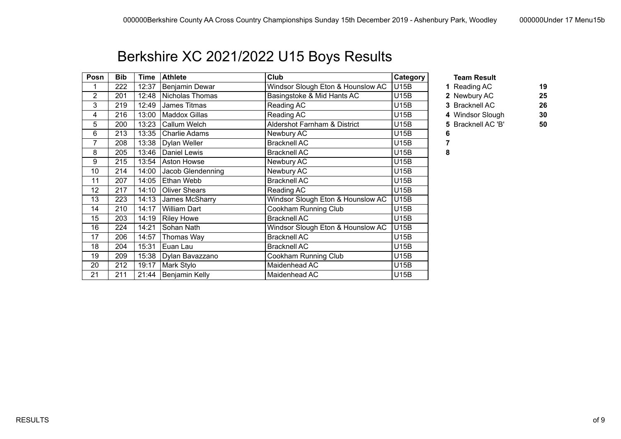# Berkshire XC 2021/2022 U15 Boys Results

| Posn           | <b>Bib</b> | <b>Time</b> | <b>Athlete</b>       | <b>Club</b>                       | Category    | <b>Team Result</b> |    |
|----------------|------------|-------------|----------------------|-----------------------------------|-------------|--------------------|----|
|                | 222        | 12:37       | Benjamin Dewar       | Windsor Slough Eton & Hounslow AC | U15B        | 1 Reading AC       | 19 |
| 2              | 201        | 12:48       | Nicholas Thomas      | Basingstoke & Mid Hants AC        | U15B        | 2 Newbury AC       | 25 |
| 3              | 219        | 12:49       | James Titmas         | Reading AC                        | <b>U15B</b> | 3 Bracknell AC     | 26 |
| 4              | 216        | 13:00       | <b>Maddox Gillas</b> | Reading AC                        | U15B        | 4 Windsor Slough   | 30 |
| 5              | 200        | 13:23       | Callum Welch         | Aldershot Farnham & District      | <b>U15B</b> | 5 Bracknell AC 'B' | 50 |
| 6              | 213        | 13:35       | Charlie Adams        | Newbury AC                        | <b>U15B</b> | 6                  |    |
| $\overline{7}$ | 208        | 13:38       | Dylan Weller         | <b>Bracknell AC</b>               | U15B        |                    |    |
| 8              | 205        | 13:46       | Daniel Lewis         | <b>Bracknell AC</b>               | <b>U15B</b> | 8                  |    |
| 9              | 215        | 13:54       | Aston Howse          | Newbury AC                        | <b>U15B</b> |                    |    |
| 10             | 214        | 14:00       | Jacob Glendenning    | Newbury AC                        | U15B        |                    |    |
| 11             | 207        | 14:05       | Ethan Webb           | <b>Bracknell AC</b>               | U15B        |                    |    |
| 12             | 217        | 14:10       | <b>Oliver Shears</b> | Reading AC                        | <b>U15B</b> |                    |    |
| 13             | 223        | 14:13       | James McSharry       | Windsor Slough Eton & Hounslow AC | <b>U15B</b> |                    |    |
| 14             | 210        | 14:17       | <b>William Dart</b>  | Cookham Running Club              | <b>U15B</b> |                    |    |
| 15             | 203        | 14:19       | <b>Riley Howe</b>    | <b>Bracknell AC</b>               | <b>U15B</b> |                    |    |
| 16             | 224        | 14:21       | Sohan Nath           | Windsor Slough Eton & Hounslow AC | <b>U15B</b> |                    |    |
| 17             | 206        | 14:57       | Thomas Way           | <b>Bracknell AC</b>               | <b>U15B</b> |                    |    |
| 18             | 204        | 15:31       | Euan Lau             | <b>Bracknell AC</b>               | U15B        |                    |    |
| 19             | 209        | 15:38       | Dylan Bavazzano      | Cookham Running Club              | <b>U15B</b> |                    |    |
| 20             | 212        | 19:17       | Mark Stylo           | Maidenhead AC                     | <b>U15B</b> |                    |    |
| 21             | 211        | 21:44       | Benjamin Kelly       | Maidenhead AC                     | <b>U15B</b> |                    |    |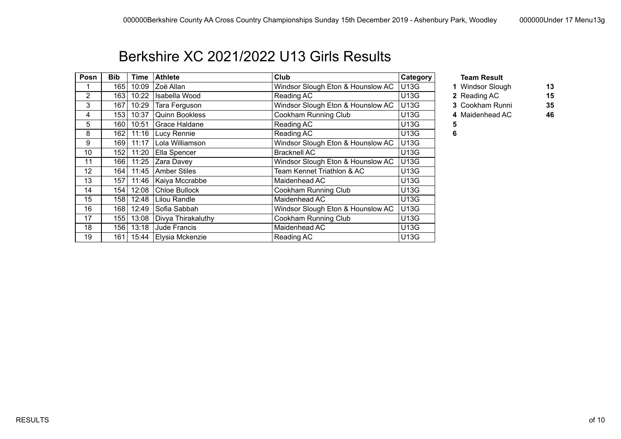## Berkshire XC 2021/2022 U13 Girls Results

| Posn           | <b>Bib</b> | Time  | <b>Athlete</b>        | <b>Club</b>                       | Category    | <b>Team Result</b> |
|----------------|------------|-------|-----------------------|-----------------------------------|-------------|--------------------|
|                | 165        | 10:09 | Zoë Allan             | Windsor Slough Eton & Hounslow AC | <b>U13G</b> | 1 Windsor Slou     |
| $\overline{2}$ | 163        | 10:22 | Isabella Wood         | Reading AC                        | <b>U13G</b> | 2 Reading AC       |
| 3              | 167        | 10:29 | Tara Ferguson         | Windsor Slough Eton & Hounslow AC | <b>U13G</b> | 3 Cookham Rui      |
| 4              | 153        | 10:37 | <b>Quinn Bookless</b> | Cookham Running Club              | U13G        | 4 Maidenhead /     |
| 5              | 160        | 10:51 | Grace Haldane         | Reading AC                        | U13G        | 5                  |
| 8              | 162        | 11:16 | Lucy Rennie           | Reading AC                        | U13G        | 6                  |
| 9              | 169        | 11:17 | Lola Williamson       | Windsor Slough Eton & Hounslow AC | <b>U13G</b> |                    |
| 10             | 152        | 11:20 | Ella Spencer          | <b>Bracknell AC</b>               | <b>U13G</b> |                    |
| 11             | 1661       | 11:25 | Zara Davey            | Windsor Slough Eton & Hounslow AC | U13G        |                    |
| 12             | 164        | 11:45 | <b>Amber Stiles</b>   | Team Kennet Triathlon & AC        | U13G        |                    |
| 13             | 157        | 11:46 | Kaiya Mccrabbe        | Maidenhead AC                     | U13G        |                    |
| 14             | 154        | 12:08 | <b>Chloe Bullock</b>  | Cookham Running Club              | U13G        |                    |
| 15             | 1581       | 12:48 | Lilou Randle          | Maidenhead AC                     | U13G        |                    |
| 16             | 1681       | 12:49 | Sofia Sabbah          | Windsor Slough Eton & Hounslow AC | U13G        |                    |
| 17             | 155        | 13:08 | Divya Thirakaluthy    | Cookham Running Club              | U13G        |                    |
| 18             | 156        | 13:18 | Jude Francis          | Maidenhead AC                     | U13G        |                    |
| 19             | 161        | 15:44 | Elysia Mckenzie       | Reading AC                        | U13G        |                    |

- 1 Windsor Slough **13**
- 163 10:22 Isabella Wood Reading AC U13G **2** Reading AC **15**
- 3 Cookham Runni **35**
- 4 Maidenhead AC **46**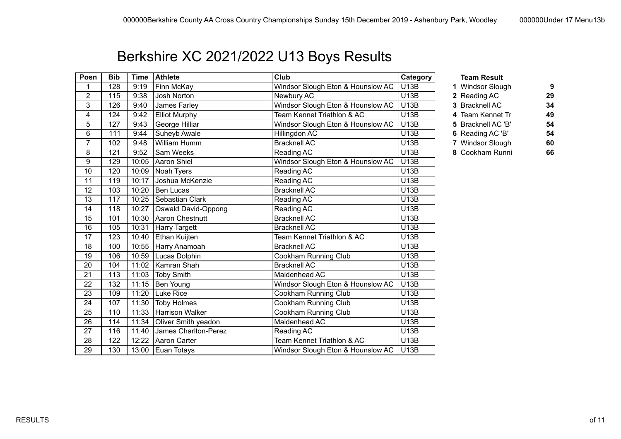# Berkshire XC 2021/2022 U13 Boys Results

| Posn           | <b>Bib</b> | <b>Time</b> | <b>Athlete</b>         | Club                              | Category    | <b>Team Result</b> |    |
|----------------|------------|-------------|------------------------|-----------------------------------|-------------|--------------------|----|
| 1              | 128        | 9:19        | Finn McKay             | Windsor Slough Eton & Hounslow AC | <b>U13B</b> | 1 Windsor Slough   | 9  |
| 2              | 115        | 9:38        | Josh Norton            | Newbury AC                        | <b>U13B</b> | 2 Reading AC       | 29 |
| 3              | 126        | 9:40        | James Farley           | Windsor Slough Eton & Hounslow AC | <b>U13B</b> | 3 Bracknell AC     | 34 |
| 4              | 124        | 9:42        | <b>Elliot Murphy</b>   | Team Kennet Triathlon & AC        | <b>U13B</b> | 4 Team Kennet Tri  | 49 |
| 5              | 127        | 9:43        | George Hilliar         | Windsor Slough Eton & Hounslow AC | <b>U13B</b> | 5 Bracknell AC 'B' | 54 |
| 6              | 111        | 9:44        | Suheyb Awale           | Hillingdon AC                     | <b>U13B</b> | 6 Reading AC 'B'   | 54 |
| $\overline{7}$ | 102        | 9:48        | William Humm           | <b>Bracknell AC</b>               | U13B        | 7 Windsor Slough   | 60 |
| 8              | 121        | 9:52        | Sam Weeks              | Reading AC                        | <b>U13B</b> | 8 Cookham Runni    | 66 |
| 9              | 129        | 10:05       | Aaron Shiel            | Windsor Slough Eton & Hounslow AC | U13B        |                    |    |
| 10             | 120        | 10:09       | Noah Tyers             | Reading AC                        | <b>U13B</b> |                    |    |
| 11             | 119        | 10:17       | Joshua McKenzie        | Reading AC                        | <b>U13B</b> |                    |    |
| 12             | 103        | 10:20       | <b>Ben Lucas</b>       | <b>Bracknell AC</b>               | <b>U13B</b> |                    |    |
| 13             | 117        | 10:25       | Sebastian Clark        | <b>Reading AC</b>                 | U13B        |                    |    |
| 14             | 118        | 10:27       | Oswald David-Oppong    | Reading AC                        | <b>U13B</b> |                    |    |
| 15             | 101        | 10:30       | Aaron Chestnutt        | <b>Bracknell AC</b>               | <b>U13B</b> |                    |    |
| 16             | 105        | 10:31       | <b>Harry Targett</b>   | <b>Bracknell AC</b>               | <b>U13B</b> |                    |    |
| 17             | 123        | 10:40       | Ethan Kuijten          | Team Kennet Triathlon & AC        | <b>U13B</b> |                    |    |
| 18             | 100        | 10:55       | Harry Anamoah          | <b>Bracknell AC</b>               | <b>U13B</b> |                    |    |
| 19             | 106        | 10:59       | Lucas Dolphin          | Cookham Running Club              | <b>U13B</b> |                    |    |
| 20             | 104        | 11:02       | Kamran Shah            | <b>Bracknell AC</b>               | U13B        |                    |    |
| 21             | 113        | 11:03       | Toby Smith             | Maidenhead AC                     | <b>U13B</b> |                    |    |
| 22             | 132        | 11:15       | Ben Young              | Windsor Slough Eton & Hounslow AC | U13B        |                    |    |
| 23             | 109        | 11:20       | Luke Rice              | Cookham Running Club              | <b>U13B</b> |                    |    |
| 24             | 107        | 11:30       | <b>Toby Holmes</b>     | Cookham Running Club              | <b>U13B</b> |                    |    |
| 25             | 110        | 11:33       | <b>Harrison Walker</b> | Cookham Running Club              | <b>U13B</b> |                    |    |
| 26             | 114        | 11:34       | Oliver Smith yeadon    | Maidenhead AC                     | U13B        |                    |    |
| 27             | 116        | 11:40       | James Charlton-Perez   | Reading AC                        | <b>U13B</b> |                    |    |
| 28             | 122        | 12:22       | Aaron Carter           | Team Kennet Triathlon & AC        | <b>U13B</b> |                    |    |
| 29             | 130        | 13:00       | Euan Totays            | Windsor Slough Eton & Hounslow AC | <b>U13B</b> |                    |    |

- 1 Windsor Slough **9** 
	-
- 
- 4 Team Kennet Tri**athlon & AC**
- 5 Bracknell AC 'B' **54**
- 111 9:44 Suheyb Awale Hillingdon AC U13B **6** Reading AC 'B' **54**
- Windsor Slough 60
- 8 Cookham Runni **66**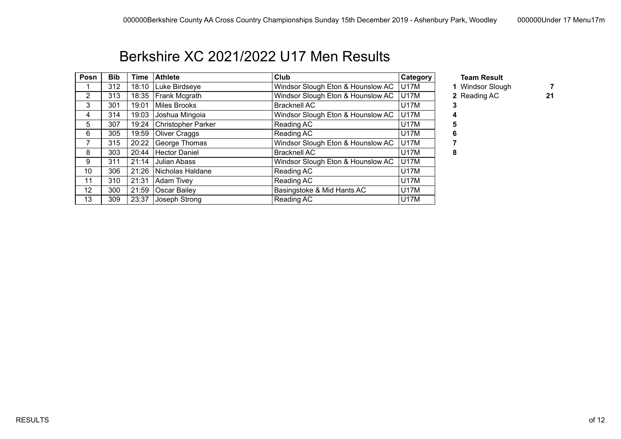## Berkshire XC 2021/2022 U17 Men Results

| Posn           | <b>Bib</b> | Time  | <b>Athlete</b>            | Club                              | Category    | <b>Team Result</b> |
|----------------|------------|-------|---------------------------|-----------------------------------|-------------|--------------------|
|                | 312        | 18:10 | Luke Birdseye             | Windsor Slough Eton & Hounslow AC | U17M        | 1 Windsor Slou     |
| $\overline{2}$ | 313        | 18:35 | <b>Frank Mcgrath</b>      | Windsor Slough Eton & Hounslow AC | <b>U17M</b> | 2 Reading AC       |
| 3              | 301        | 19:01 | Miles Brooks              | <b>Bracknell AC</b>               | <b>U17M</b> |                    |
| 4              | 314        | 19:03 | Joshua Mingoia            | Windsor Slough Eton & Hounslow AC | <b>U17M</b> |                    |
| 5              | 307        | 19:24 | <b>Christopher Parker</b> | Reading AC                        | <b>U17M</b> |                    |
| 6              | 305        | 19:59 | Oliver Craggs             | Reading AC                        | <b>U17M</b> |                    |
|                | 315        | 20:22 | George Thomas             | Windsor Slough Eton & Hounslow AC | <b>U17M</b> |                    |
| 8              | 303        | 20:44 | <b>Hector Daniel</b>      | <b>Bracknell AC</b>               | <b>U17M</b> | 8                  |
| 9              | 311        | 21:14 | Julian Abass              | Windsor Slough Eton & Hounslow AC | U17M        |                    |
| 10             | 306        | 21:26 | Nicholas Haldane          | Reading AC                        | <b>U17M</b> |                    |
| 11             | 310        | 21:31 | Adam Tivey                | Reading AC                        | <b>U17M</b> |                    |
| 12             | 300        | 21:59 | Oscar Bailey              | Basingstoke & Mid Hants AC        | <b>U17M</b> |                    |
| 13             | 309        | 23:37 | Joseph Strong             | Reading AC                        | <b>U17M</b> |                    |

- 
- 1 Windsor Slough **7**
- 2 Reading AC 21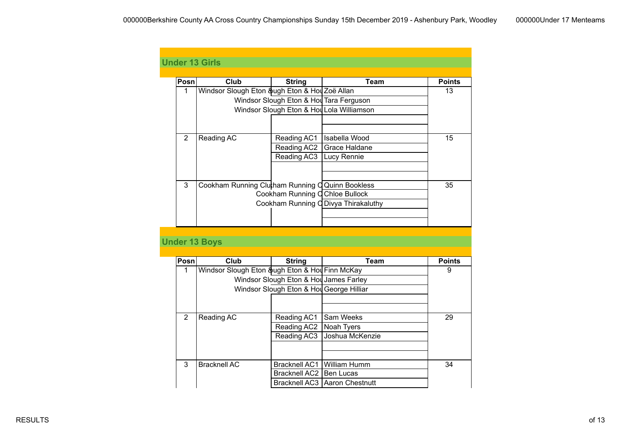| <b>Under 13 Girls</b> |                                                  |                                          |                                           |               |
|-----------------------|--------------------------------------------------|------------------------------------------|-------------------------------------------|---------------|
|                       |                                                  |                                          |                                           |               |
| Posn                  | Club                                             | <b>String</b>                            | <b>Team</b>                               | <b>Points</b> |
| $\mathbf{1}$          | Windsor Slough Eton &ugh Eton & Hou Zoë Allan    |                                          |                                           | 13            |
|                       |                                                  | Windsor Slough Eton & Hou Tara Ferguson  |                                           |               |
|                       |                                                  |                                          | Windsor Slough Eton & Hou Lola Williamson |               |
|                       |                                                  |                                          |                                           |               |
|                       |                                                  |                                          |                                           |               |
| 2                     | Reading AC                                       | Reading AC1                              | Isabella Wood                             | 15            |
|                       |                                                  | Reading AC2                              | Grace Haldane                             |               |
|                       |                                                  | Reading AC3                              | Lucy Rennie                               |               |
|                       |                                                  |                                          |                                           |               |
|                       |                                                  |                                          |                                           |               |
| 3                     | Cookham Running Clutham Running C Quinn Bookless |                                          |                                           | 35            |
|                       |                                                  | Cookham Running C Chloe Bullock          |                                           |               |
|                       |                                                  |                                          | Cookham Running O Divya Thirakaluthy      |               |
|                       |                                                  |                                          |                                           |               |
|                       |                                                  |                                          |                                           |               |
|                       |                                                  |                                          |                                           |               |
| <b>Under 13 Boys</b>  |                                                  |                                          |                                           |               |
|                       |                                                  |                                          |                                           |               |
| Posn                  | <b>Club</b>                                      | <b>String</b>                            | <b>Team</b>                               | <b>Points</b> |
| 1                     | Windsor Slough Eton &ugh Eton & Hol Finn McKay   |                                          |                                           | 9             |
|                       |                                                  | Windsor Slough Eton & Hou James Farley   |                                           |               |
|                       |                                                  | Windsor Slough Eton & Hou George Hilliar |                                           |               |
|                       |                                                  |                                          |                                           |               |
|                       |                                                  |                                          |                                           |               |
| $\overline{2}$        | Reading AC                                       | Reading AC1                              | Sam Weeks                                 | 29            |
|                       |                                                  | Reading AC2                              | Noah Tyers                                |               |
|                       |                                                  | Reading AC3                              | Joshua McKenzie                           |               |
|                       |                                                  |                                          |                                           |               |
|                       |                                                  |                                          |                                           |               |
| $\overline{3}$        | <b>Bracknell AC</b>                              |                                          | Bracknell AC1 William Humm                | 34            |
|                       |                                                  | Bracknell AC2   Ben Lucas                |                                           |               |
|                       |                                                  |                                          | Bracknell AC3   Aaron Chestnutt           |               |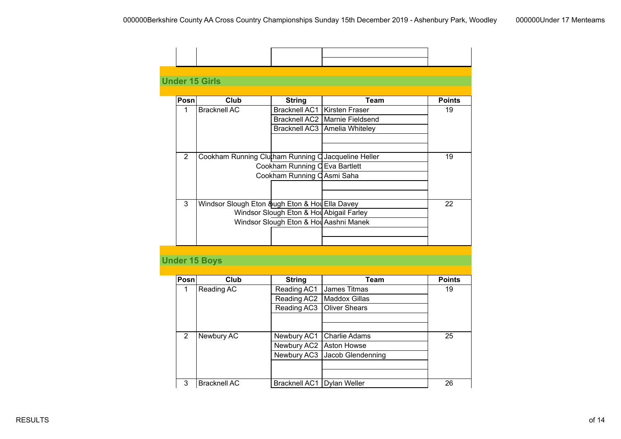|      | <b>Under 15 Girls</b>                               |                                          |                                  |               |
|------|-----------------------------------------------------|------------------------------------------|----------------------------------|---------------|
| Posn | Club                                                | <b>String</b>                            | Team                             | <b>Points</b> |
| 1    | Bracknell AC                                        | Bracknell AC1   Kirsten Fraser           |                                  | 19            |
|      |                                                     |                                          | Bracknell AC2   Marnie Fieldsend |               |
|      |                                                     |                                          | Bracknell AC3   Amelia Whiteley  |               |
|      |                                                     |                                          |                                  |               |
| 2    | Cookham Running Clukham Running Q Jacqueline Heller |                                          |                                  | 19            |
|      |                                                     | Cookham Running C Eva Bartlett           |                                  |               |
|      |                                                     | Cookham Running C Asmi Saha              |                                  |               |
|      |                                                     |                                          |                                  |               |
| 3    | Windsor Slough Eton &ugh Eton & Hou Ella Davey      |                                          |                                  | 22            |
|      |                                                     | Windsor Slough Eton & Hol Abigail Farley |                                  |               |
|      |                                                     | Windsor Slough Eton & Hol Aashni Manek   |                                  |               |
|      |                                                     |                                          |                                  |               |

### **Under 15 Boys**

| Posn | Club                | <b>String</b>                | Team                            | <b>Points</b> |
|------|---------------------|------------------------------|---------------------------------|---------------|
| 1    | Reading AC          | Reading AC1                  | James Titmas                    | 19            |
|      |                     | Reading AC2                  | Maddox Gillas                   |               |
|      |                     | Reading AC3                  | <b>Oliver Shears</b>            |               |
|      |                     |                              |                                 |               |
|      |                     |                              |                                 |               |
| 2    | Newbury AC          | Newbury AC1                  | Charlie Adams                   | 25            |
|      |                     | Newbury AC2   Aston Howse    |                                 |               |
|      |                     |                              | Newbury AC3   Jacob Glendenning |               |
|      |                     |                              |                                 |               |
|      |                     |                              |                                 |               |
| 3    | <b>Bracknell AC</b> | Bracknell AC1   Dylan Weller |                                 | 26            |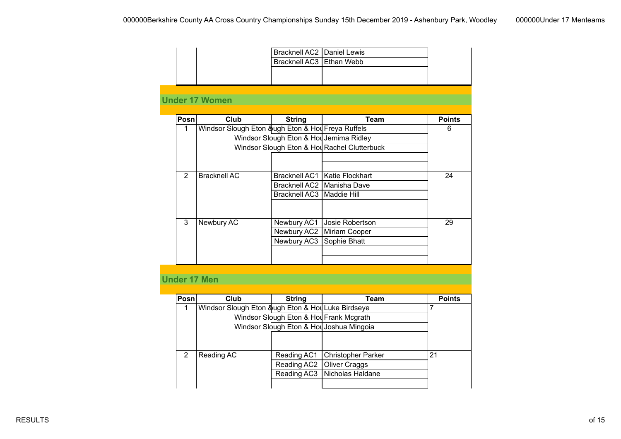|                |                                                   | Bracknell AC2 Daniel Lewis               |                                              |               |
|----------------|---------------------------------------------------|------------------------------------------|----------------------------------------------|---------------|
|                |                                                   | Bracknell AC3   Ethan Webb               |                                              |               |
|                |                                                   |                                          |                                              |               |
|                |                                                   |                                          |                                              |               |
|                |                                                   |                                          |                                              |               |
|                | <b>Under 17 Women</b>                             |                                          |                                              |               |
|                |                                                   |                                          |                                              |               |
| Posn           | <b>Club</b>                                       | <b>String</b>                            | <b>Team</b>                                  | <b>Points</b> |
| $\mathbf{1}$   | Windsor Slough Eton &ugh Eton & Hol Freya Ruffels |                                          |                                              | 6             |
|                |                                                   | Windsor Slough Eton & Holl Jemima Ridley |                                              |               |
|                |                                                   |                                          | Windsor Slough Eton & Hou Rachel Clutterbuck |               |
|                |                                                   |                                          |                                              |               |
|                |                                                   |                                          |                                              |               |
| $\overline{2}$ | <b>Bracknell AC</b>                               |                                          | Bracknell AC1   Katie Flockhart              | 24            |
|                |                                                   |                                          | Bracknell AC2   Manisha Dave                 |               |
|                |                                                   | Bracknell AC3   Maddie Hill              |                                              |               |
|                |                                                   |                                          |                                              |               |
|                |                                                   |                                          |                                              |               |
| 3              | Newbury AC                                        | Newbury AC1                              | Josie Robertson                              | 29            |
|                |                                                   |                                          | Newbury AC2   Miriam Cooper                  |               |
|                |                                                   | Newbury AC3                              | Sophie Bhatt                                 |               |
|                |                                                   |                                          |                                              |               |
|                |                                                   |                                          |                                              |               |
|                |                                                   |                                          |                                              |               |

### **Under 17 Men**

| Posn          | Club                                              | <b>String</b>                           | Team                                     | <b>Points</b> |
|---------------|---------------------------------------------------|-----------------------------------------|------------------------------------------|---------------|
|               | Windsor Slough Eton &ugh Eton & Hol Luke Birdseye |                                         |                                          |               |
|               |                                                   | Windsor Slough Eton & Hou Frank Mcgrath |                                          |               |
|               |                                                   |                                         | Windsor Slough Eton & Hol Joshua Mingoia |               |
|               |                                                   |                                         |                                          |               |
|               |                                                   |                                         |                                          |               |
| $\mathcal{P}$ | Reading AC                                        | Reading AC1                             | Christopher Parker                       | 21            |
|               |                                                   | Reading AC2                             | Oliver Craggs                            |               |
|               |                                                   |                                         | Reading AC3   Nicholas Haldane           |               |
|               |                                                   |                                         |                                          |               |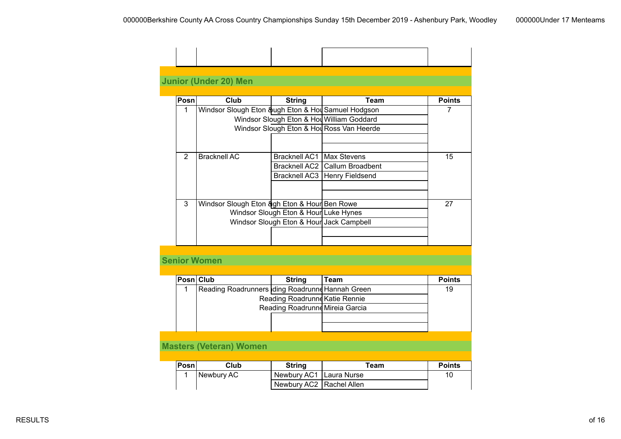| Posn          | Club                                               | String                                | Team                                      | <b>Points</b> |
|---------------|----------------------------------------------------|---------------------------------------|-------------------------------------------|---------------|
| 1             | Windsor Slough Eton &ugh Eton & Hol Samuel Hodgson |                                       |                                           | 7             |
|               |                                                    |                                       | Windsor Slough Eton & Hou William Goddard |               |
|               |                                                    |                                       | Windsor Slough Eton & Hol Ross Van Heerde |               |
|               |                                                    |                                       |                                           |               |
|               |                                                    |                                       |                                           |               |
| $\mathcal{P}$ | <b>Bracknell AC</b>                                | Bracknell AC1   Max Stevens           |                                           | 15            |
|               |                                                    |                                       | Bracknell AC2   Callum Broadbent          |               |
|               |                                                    |                                       | Bracknell AC3   Henry Fieldsend           |               |
|               |                                                    |                                       |                                           |               |
|               |                                                    |                                       |                                           |               |
| 3             | Windsor Slough Eton & at Hour Ben Rowe             |                                       |                                           | 27            |
|               |                                                    | Windsor Slough Eton & Hour Luke Hynes |                                           |               |
|               |                                                    |                                       | Windsor Slough Eton & Hour Jack Campbell  |               |

### **Senior Women**

| Posn Club |                                                  | <b>String</b>                   | Team | <b>Points</b> |
|-----------|--------------------------------------------------|---------------------------------|------|---------------|
|           | Reading Roadrunners Iding Roadrunne Hannah Green |                                 |      | 19            |
|           |                                                  | Reading Roadrunne Katie Rennie  |      |               |
|           |                                                  | Reading Roadrunne Mireia Garcia |      |               |
|           |                                                  |                                 |      |               |
|           |                                                  |                                 |      |               |
|           |                                                  |                                 |      |               |
|           | <b>Masters (Veteran) Women</b>                   |                                 |      |               |

### **Posn Club String Team Points** 1 Newbury AC Newbury AC1 Laura Nurse 10 Newbury AC2 Rachel Allen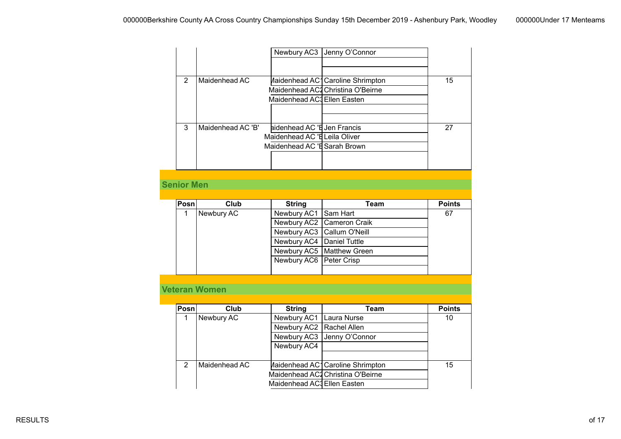|                   |                      |                               | Newbury AC3 Jenny O'Connor        |               |
|-------------------|----------------------|-------------------------------|-----------------------------------|---------------|
|                   |                      |                               |                                   |               |
|                   |                      |                               |                                   |               |
| $\overline{2}$    | Maidenhead AC        |                               | Maidenhead AC1 Caroline Shrimpton | 15            |
|                   |                      |                               | Maidenhead AC2 Christina O'Beirne |               |
|                   |                      | Maidenhead AC3 Ellen Easten   |                                   |               |
|                   |                      |                               |                                   |               |
| $\overline{3}$    | Maidenhead AC 'B'    | aidenhead AC 'E Jen Francis   |                                   | 27            |
|                   |                      | Maidenhead AC 'E Leila Oliver |                                   |               |
|                   |                      | Maidenhead AC 'E Sarah Brown  |                                   |               |
|                   |                      |                               |                                   |               |
|                   |                      |                               |                                   |               |
|                   |                      |                               |                                   |               |
| <b>Senior Men</b> |                      |                               |                                   |               |
|                   |                      |                               |                                   |               |
| Posn              | <b>Club</b>          | <b>String</b>                 | <b>Team</b>                       | <b>Points</b> |
| $\mathbf{1}$      | Newbury AC           | Newbury AC1                   | Sam Hart                          | 67            |
|                   |                      | Newbury AC2                   | <b>Cameron Craik</b>              |               |
|                   |                      | Newbury AC3                   | <b>Callum O'Neill</b>             |               |
|                   |                      | Newbury AC4                   | Daniel Tuttle                     |               |
|                   |                      | Newbury AC5                   | <b>Matthew Green</b>              |               |
|                   |                      | Newbury AC6                   | Peter Crisp                       |               |
|                   |                      |                               |                                   |               |
|                   |                      |                               |                                   |               |
|                   | <b>Veteran Women</b> |                               |                                   |               |
|                   |                      |                               |                                   |               |
| Posn              | Club                 | <b>String</b>                 | <b>Team</b>                       | <b>Points</b> |
| 1                 | <b>Newbury AC</b>    | Newbury AC1                   | Laura Nurse                       | 10            |
|                   |                      | Newbury AC2                   | Rachel Allen                      |               |
|                   |                      | Newbury AC3                   | Jenny O'Connor                    |               |
|                   |                      | Newbury AC4                   |                                   |               |
|                   |                      |                               |                                   |               |
| $\overline{2}$    | Maidenhead AC        |                               | Aaidenhead AC1 Caroline Shrimpton | 15            |
|                   |                      |                               | Maidenhead AC2 Christina O'Beirne |               |
|                   |                      |                               |                                   |               |
|                   |                      | Maidenhead AC3 Ellen Easten   |                                   |               |